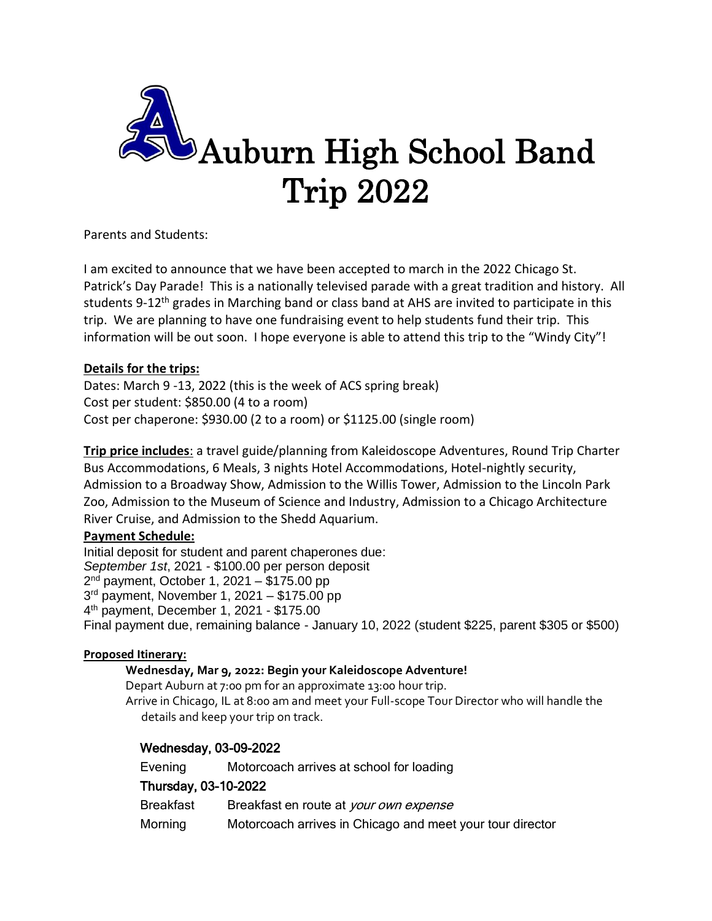

Parents and Students:

I am excited to announce that we have been accepted to march in the 2022 Chicago St. Patrick's Day Parade! This is a nationally televised parade with a great tradition and history. All students 9-12<sup>th</sup> grades in Marching band or class band at AHS are invited to participate in this trip. We are planning to have one fundraising event to help students fund their trip. This information will be out soon. I hope everyone is able to attend this trip to the "Windy City"!

# **Details for the trips:**

Dates: March 9 -13, 2022 (this is the week of ACS spring break) Cost per student: \$850.00 (4 to a room) Cost per chaperone: \$930.00 (2 to a room) or \$1125.00 (single room)

**Trip price includes**: a travel guide/planning from Kaleidoscope Adventures, Round Trip Charter Bus Accommodations, 6 Meals, 3 nights Hotel Accommodations, Hotel-nightly security, Admission to a Broadway Show, Admission to the Willis Tower, Admission to the Lincoln Park Zoo, Admission to the Museum of Science and Industry, Admission to a Chicago Architecture River Cruise, and Admission to the Shedd Aquarium.

# **Payment Schedule:**

Initial deposit for student and parent chaperones due: *September 1st*, 2021 - \$100.00 per person deposit 2 nd payment, October 1, 2021 – \$175.00 pp 3 rd payment, November 1, 2021 – \$175.00 pp 4 th payment, December 1, 2021 - \$175.00 Final payment due, remaining balance - January 10, 2022 (student \$225, parent \$305 or \$500)

### **Proposed Itinerary:**

### **Wednesday, Mar 9, 2022: Begin your Kaleidoscope Adventure!**

Depart Auburn at 7:00 pm for an approximate 13:00 hour trip. Arrive in Chicago, IL at 8:00 am and meet your Full-scope Tour Director who will handle the details and keep your trip on track.

# Wednesday, 03-09-2022

Evening Motorcoach arrives at school for loading Thursday, 03-10-2022 Breakfast Breakfast en route at your own expense Morning Motorcoach arrives in Chicago and meet your tour director